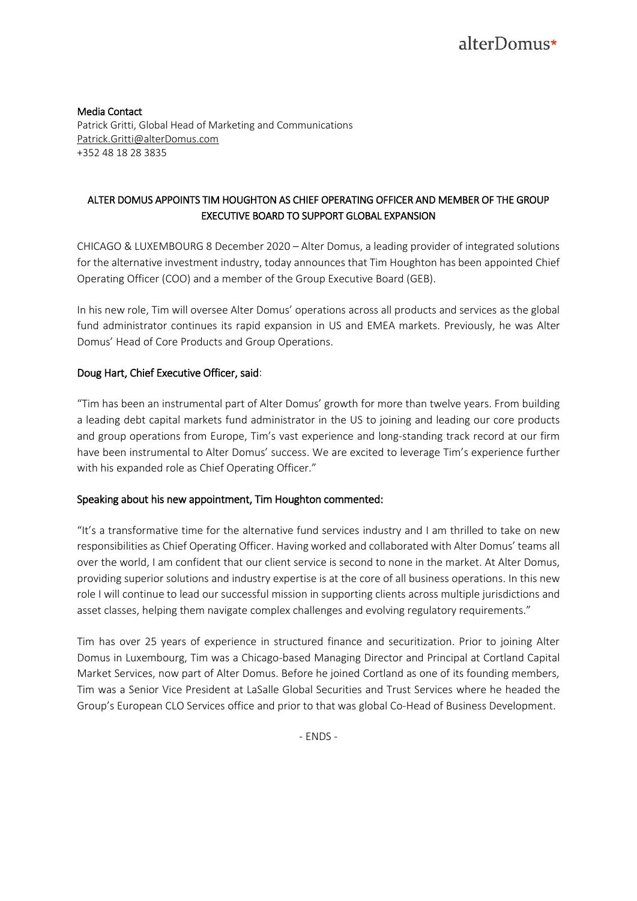Media Contact Patrick Gritti, Global Head of Marketing and Communications [Patrick.Gritti@alterDomus.com](mailto:Patrick.Gritti@alterDomus.com) +352 48 18 28 3835

## ALTER DOMUS APPOINTS TIM HOUGHTON AS CHIEF OPERATING OFFICER AND MEMBER OF THE GROUP EXECUTIVE BOARD TO SUPPORT GLOBAL EXPANSION

CHICAGO & LUXEMBOURG 8 December 2020 – Alter Domus, a leading provider of integrated solutions for the alternative investment industry, today announces that Tim Houghton has been appointed Chief Operating Officer (COO) and a member of the Group Executive Board (GEB).

In his new role, Tim will oversee Alter Domus' operations across all products and services as the global fund administrator continues its rapid expansion in US and EMEA markets. Previously, he was Alter Domus' Head of Core Products and Group Operations.

## Doug Hart, Chief Executive Officer, said:

"Tim has been an instrumental part of Alter Domus' growth for more than twelve years. From building a leading debt capital markets fund administrator in the US to joining and leading our core products and group operations from Europe, Tim's vast experience and long-standing track record at our firm have been instrumental to Alter Domus' success. We are excited to leverage Tim's experience further with his expanded role as Chief Operating Officer."

## Speaking about his new appointment, Tim Houghton commented:

"It's a transformative time for the alternative fund services industry and I am thrilled to take on new responsibilities as Chief Operating Officer. Having worked and collaborated with Alter Domus' teams all over the world, I am confident that our client service is second to none in the market. At Alter Domus, providing superior solutions and industry expertise is at the core of all business operations. In this new role I will continue to lead our successful mission in supporting clients across multiple jurisdictions and asset classes, helping them navigate complex challenges and evolving regulatory requirements."

Tim has over 25 years of experience in structured finance and securitization. Prior to joining Alter Domus in Luxembourg, Tim was a Chicago-based Managing Director and Principal at Cortland Capital Market Services, now part of Alter Domus. Before he joined Cortland as one of its founding members, Tim was a Senior Vice President at LaSalle Global Securities and Trust Services where he headed the Group's European CLO Services office and prior to that was global Co-Head of Business Development.

- ENDS -